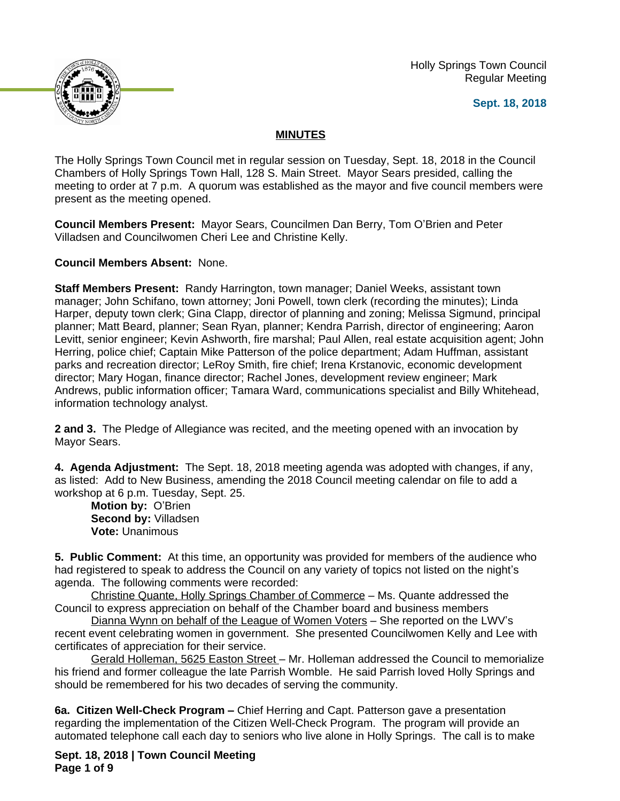Holly Springs Town Council Regular Meeting

**Sept. 18, 2018**



## **MINUTES**

The Holly Springs Town Council met in regular session on Tuesday, Sept. 18, 2018 in the Council Chambers of Holly Springs Town Hall, 128 S. Main Street. Mayor Sears presided, calling the meeting to order at 7 p.m. A quorum was established as the mayor and five council members were present as the meeting opened.

**Council Members Present:** Mayor Sears, Councilmen Dan Berry, Tom O'Brien and Peter Villadsen and Councilwomen Cheri Lee and Christine Kelly.

**Council Members Absent:** None.

**Staff Members Present:** Randy Harrington, town manager; Daniel Weeks, assistant town manager; John Schifano, town attorney; Joni Powell, town clerk (recording the minutes); Linda Harper, deputy town clerk; Gina Clapp, director of planning and zoning; Melissa Sigmund, principal planner; Matt Beard, planner; Sean Ryan, planner; Kendra Parrish, director of engineering; Aaron Levitt, senior engineer; Kevin Ashworth, fire marshal; Paul Allen, real estate acquisition agent; John Herring, police chief; Captain Mike Patterson of the police department; Adam Huffman, assistant parks and recreation director; LeRoy Smith, fire chief; Irena Krstanovic, economic development director; Mary Hogan, finance director; Rachel Jones, development review engineer; Mark Andrews, public information officer; Tamara Ward, communications specialist and Billy Whitehead, information technology analyst.

**2 and 3.** The Pledge of Allegiance was recited, and the meeting opened with an invocation by Mayor Sears.

**4. Agenda Adjustment:** The Sept. 18, 2018 meeting agenda was adopted with changes, if any, as listed: Add to New Business, amending the 2018 Council meeting calendar on file to add a workshop at 6 p.m. Tuesday, Sept. 25.

**Motion by:** O'Brien **Second by:** Villadsen **Vote:** Unanimous

**5. Public Comment:** At this time, an opportunity was provided for members of the audience who had registered to speak to address the Council on any variety of topics not listed on the night's agenda. The following comments were recorded:

Christine Quante, Holly Springs Chamber of Commerce – Ms. Quante addressed the Council to express appreciation on behalf of the Chamber board and business members

Dianna Wynn on behalf of the League of Women Voters – She reported on the LWV's recent event celebrating women in government. She presented Councilwomen Kelly and Lee with certificates of appreciation for their service.

Gerald Holleman, 5625 Easton Street – Mr. Holleman addressed the Council to memorialize his friend and former colleague the late Parrish Womble. He said Parrish loved Holly Springs and should be remembered for his two decades of serving the community.

**6a. Citizen Well-Check Program –** Chief Herring and Capt. Patterson gave a presentation regarding the implementation of the Citizen Well-Check Program. The program will provide an automated telephone call each day to seniors who live alone in Holly Springs. The call is to make

**Sept. 18, 2018 | Town Council Meeting Page 1 of 9**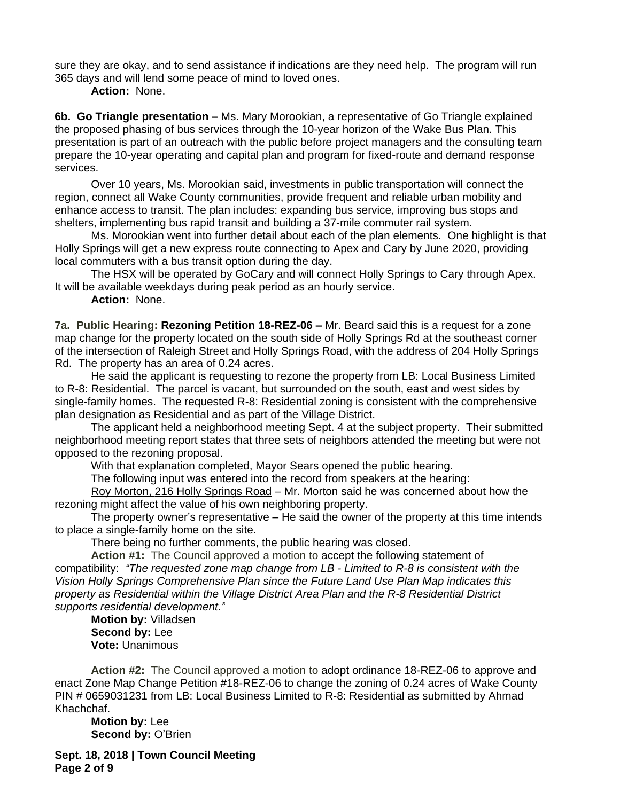sure they are okay, and to send assistance if indications are they need help. The program will run 365 days and will lend some peace of mind to loved ones.

**Action:** None.

**6b. Go Triangle presentation –** Ms. Mary Morookian, a representative of Go Triangle explained the proposed phasing of bus services through the 10-year horizon of the Wake Bus Plan. This presentation is part of an outreach with the public before project managers and the consulting team prepare the 10-year operating and capital plan and program for fixed-route and demand response services.

Over 10 years, Ms. Morookian said, investments in public transportation will connect the region, connect all Wake County communities, provide frequent and reliable urban mobility and enhance access to transit. The plan includes: expanding bus service, improving bus stops and shelters, implementing bus rapid transit and building a 37-mile commuter rail system.

Ms. Morookian went into further detail about each of the plan elements. One highlight is that Holly Springs will get a new express route connecting to Apex and Cary by June 2020, providing local commuters with a bus transit option during the day.

The HSX will be operated by GoCary and will connect Holly Springs to Cary through Apex. It will be available weekdays during peak period as an hourly service.

**Action:** None.

**7a. Public Hearing: Rezoning Petition 18-REZ-06 – Mr. Beard said this is a request for a zone** map change for the property located on the south side of Holly Springs Rd at the southeast corner of the intersection of Raleigh Street and Holly Springs Road, with the address of 204 Holly Springs Rd. The property has an area of 0.24 acres.

He said the applicant is requesting to rezone the property from LB: Local Business Limited to R-8: Residential. The parcel is vacant, but surrounded on the south, east and west sides by single-family homes. The requested R-8: Residential zoning is consistent with the comprehensive plan designation as Residential and as part of the Village District.

The applicant held a neighborhood meeting Sept. 4 at the subject property. Their submitted neighborhood meeting report states that three sets of neighbors attended the meeting but were not opposed to the rezoning proposal.

With that explanation completed, Mayor Sears opened the public hearing.

The following input was entered into the record from speakers at the hearing:

Roy Morton, 216 Holly Springs Road – Mr. Morton said he was concerned about how the rezoning might affect the value of his own neighboring property.

The property owner's representative – He said the owner of the property at this time intends to place a single-family home on the site.

There being no further comments, the public hearing was closed.

**Action #1:** The Council approved a motion to accept the following statement of compatibility: *"The requested zone map change from LB - Limited to R-8 is consistent with the Vision Holly Springs Comprehensive Plan since the Future Land Use Plan Map indicates this property as Residential within the Village District Area Plan and the R-8 Residential District supports residential development."*

**Motion by:** Villadsen **Second by:** Lee **Vote:** Unanimous

**Action #2:** The Council approved a motion to adopt ordinance 18-REZ-06 to approve and enact Zone Map Change Petition #18-REZ-06 to change the zoning of 0.24 acres of Wake County PIN # 0659031231 from LB: Local Business Limited to R-8: Residential as submitted by Ahmad Khachchaf.

**Motion by:** Lee **Second by: O'Brien** 

**Sept. 18, 2018 | Town Council Meeting Page 2 of 9**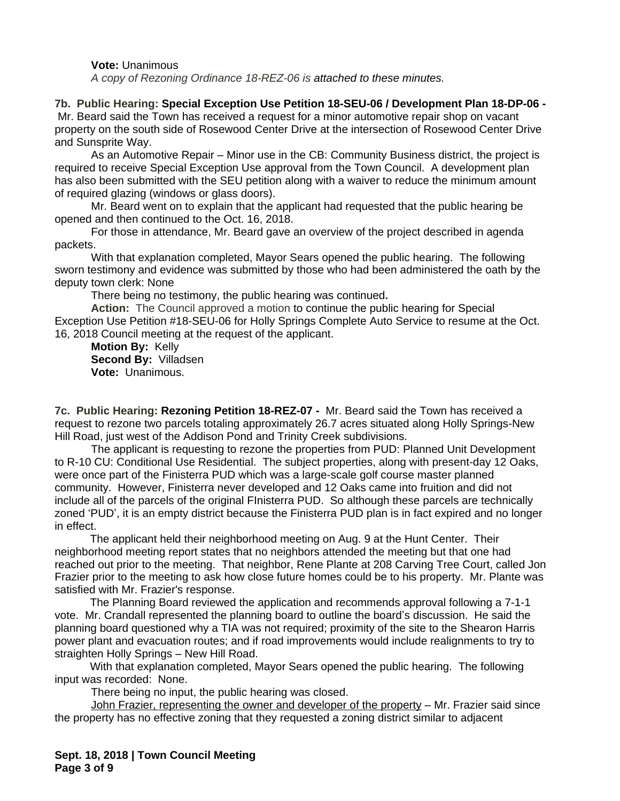#### **Vote:** Unanimous

*A copy of Rezoning Ordinance 18-REZ-06 is attached to these minutes.*

#### **7b. Public Hearing: Special Exception Use Petition 18-SEU-06 / Development Plan 18-DP-06 -**

 Mr. Beard said the Town has received a request for a minor automotive repair shop on vacant property on the south side of Rosewood Center Drive at the intersection of Rosewood Center Drive and Sunsprite Way.

As an Automotive Repair – Minor use in the CB: Community Business district, the project is required to receive Special Exception Use approval from the Town Council. A development plan has also been submitted with the SEU petition along with a waiver to reduce the minimum amount of required glazing (windows or glass doors).

Mr. Beard went on to explain that the applicant had requested that the public hearing be opened and then continued to the Oct. 16, 2018.

For those in attendance, Mr. Beard gave an overview of the project described in agenda packets.

With that explanation completed, Mayor Sears opened the public hearing. The following sworn testimony and evidence was submitted by those who had been administered the oath by the deputy town clerk: None

There being no testimony, the public hearing was continued**.**

**Action:** The Council approved a motion to continue the public hearing for Special Exception Use Petition #18-SEU-06 for Holly Springs Complete Auto Service to resume at the Oct. 16, 2018 Council meeting at the request of the applicant.

**Motion By:** Kelly **Second By:** Villadsen **Vote:** Unanimous.

**7c. Public Hearing: Rezoning Petition 18-REZ-07 -** Mr. Beard said the Town has received a request to rezone two parcels totaling approximately 26.7 acres situated along Holly Springs-New Hill Road, just west of the Addison Pond and Trinity Creek subdivisions.

The applicant is requesting to rezone the properties from PUD: Planned Unit Development to R-10 CU: Conditional Use Residential. The subject properties, along with present-day 12 Oaks, were once part of the Finisterra PUD which was a large-scale golf course master planned community. However, Finisterra never developed and 12 Oaks came into fruition and did not include all of the parcels of the original FInisterra PUD. So although these parcels are technically zoned 'PUD', it is an empty district because the Finisterra PUD plan is in fact expired and no longer in effect.

The applicant held their neighborhood meeting on Aug. 9 at the Hunt Center. Their neighborhood meeting report states that no neighbors attended the meeting but that one had reached out prior to the meeting. That neighbor, Rene Plante at 208 Carving Tree Court, called Jon Frazier prior to the meeting to ask how close future homes could be to his property. Mr. Plante was satisfied with Mr. Frazier's response.

The Planning Board reviewed the application and recommends approval following a 7-1-1 vote. Mr. Crandall represented the planning board to outline the board's discussion. He said the planning board questioned why a TIA was not required; proximity of the site to the Shearon Harris power plant and evacuation routes; and if road improvements would include realignments to try to straighten Holly Springs – New Hill Road.

With that explanation completed, Mayor Sears opened the public hearing. The following input was recorded: None.

There being no input, the public hearing was closed.

John Frazier, representing the owner and developer of the property – Mr. Frazier said since the property has no effective zoning that they requested a zoning district similar to adjacent

**Sept. 18, 2018 | Town Council Meeting Page 3 of 9**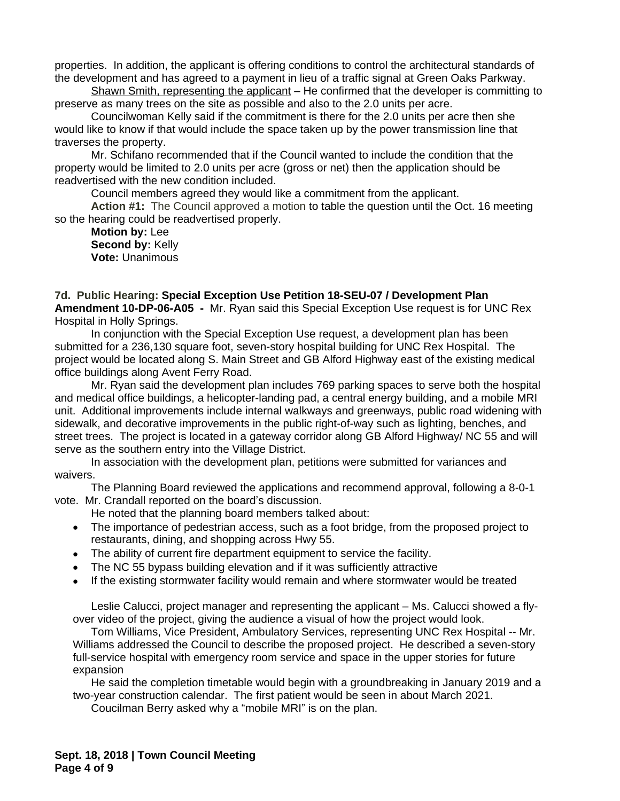properties. In addition, the applicant is offering conditions to control the architectural standards of the development and has agreed to a payment in lieu of a traffic signal at Green Oaks Parkway.

Shawn Smith, representing the applicant – He confirmed that the developer is committing to preserve as many trees on the site as possible and also to the 2.0 units per acre.

Councilwoman Kelly said if the commitment is there for the 2.0 units per acre then she would like to know if that would include the space taken up by the power transmission line that traverses the property.

Mr. Schifano recommended that if the Council wanted to include the condition that the property would be limited to 2.0 units per acre (gross or net) then the application should be readvertised with the new condition included.

Council members agreed they would like a commitment from the applicant.

**Action #1:** The Council approved a motion to table the question until the Oct. 16 meeting so the hearing could be readvertised properly.

**Motion by:** Lee **Second by:** Kelly **Vote:** Unanimous

**7d. Public Hearing: Special Exception Use Petition 18-SEU-07 / Development Plan Amendment 10-DP-06-A05 -** Mr. Ryan said this Special Exception Use request is for UNC Rex Hospital in Holly Springs.

In conjunction with the Special Exception Use request, a development plan has been submitted for a 236,130 square foot, seven-story hospital building for UNC Rex Hospital. The project would be located along S. Main Street and GB Alford Highway east of the existing medical office buildings along Avent Ferry Road.

Mr. Ryan said the development plan includes 769 parking spaces to serve both the hospital and medical office buildings, a helicopter-landing pad, a central energy building, and a mobile MRI unit. Additional improvements include internal walkways and greenways, public road widening with sidewalk, and decorative improvements in the public right-of-way such as lighting, benches, and street trees. The project is located in a gateway corridor along GB Alford Highway/ NC 55 and will serve as the southern entry into the Village District.

In association with the development plan, petitions were submitted for variances and waivers.

The Planning Board reviewed the applications and recommend approval, following a 8-0-1 vote. Mr. Crandall reported on the board's discussion.

- He noted that the planning board members talked about:
- The importance of pedestrian access, such as a foot bridge, from the proposed project to restaurants, dining, and shopping across Hwy 55.
- The ability of current fire department equipment to service the facility.
- The NC 55 bypass building elevation and if it was sufficiently attractive
- If the existing stormwater facility would remain and where stormwater would be treated

Leslie Calucci, project manager and representing the applicant – Ms. Calucci showed a flyover video of the project, giving the audience a visual of how the project would look.

Tom Williams, Vice President, Ambulatory Services, representing UNC Rex Hospital -- Mr. Williams addressed the Council to describe the proposed project. He described a seven-story full-service hospital with emergency room service and space in the upper stories for future expansion

He said the completion timetable would begin with a groundbreaking in January 2019 and a two-year construction calendar. The first patient would be seen in about March 2021.

Coucilman Berry asked why a "mobile MRI" is on the plan.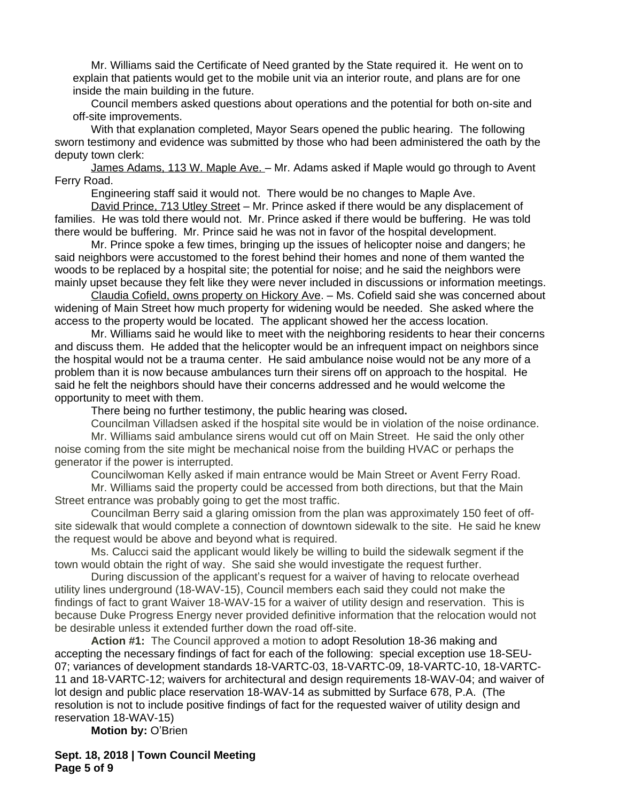Mr. Williams said the Certificate of Need granted by the State required it. He went on to explain that patients would get to the mobile unit via an interior route, and plans are for one inside the main building in the future.

Council members asked questions about operations and the potential for both on-site and off-site improvements.

With that explanation completed, Mayor Sears opened the public hearing. The following sworn testimony and evidence was submitted by those who had been administered the oath by the deputy town clerk:

James Adams, 113 W. Maple Ave. – Mr. Adams asked if Maple would go through to Avent Ferry Road.

Engineering staff said it would not. There would be no changes to Maple Ave.

David Prince, 713 Utley Street – Mr. Prince asked if there would be any displacement of families. He was told there would not. Mr. Prince asked if there would be buffering. He was told there would be buffering. Mr. Prince said he was not in favor of the hospital development.

Mr. Prince spoke a few times, bringing up the issues of helicopter noise and dangers; he said neighbors were accustomed to the forest behind their homes and none of them wanted the woods to be replaced by a hospital site; the potential for noise; and he said the neighbors were mainly upset because they felt like they were never included in discussions or information meetings.

Claudia Cofield, owns property on Hickory Ave. – Ms. Cofield said she was concerned about widening of Main Street how much property for widening would be needed. She asked where the access to the property would be located. The applicant showed her the access location.

Mr. Williams said he would like to meet with the neighboring residents to hear their concerns and discuss them. He added that the helicopter would be an infrequent impact on neighbors since the hospital would not be a trauma center. He said ambulance noise would not be any more of a problem than it is now because ambulances turn their sirens off on approach to the hospital. He said he felt the neighbors should have their concerns addressed and he would welcome the opportunity to meet with them.

There being no further testimony, the public hearing was closed**.**

Councilman Villadsen asked if the hospital site would be in violation of the noise ordinance.

Mr. Williams said ambulance sirens would cut off on Main Street. He said the only other noise coming from the site might be mechanical noise from the building HVAC or perhaps the generator if the power is interrupted.

Councilwoman Kelly asked if main entrance would be Main Street or Avent Ferry Road.

Mr. Williams said the property could be accessed from both directions, but that the Main Street entrance was probably going to get the most traffic.

Councilman Berry said a glaring omission from the plan was approximately 150 feet of offsite sidewalk that would complete a connection of downtown sidewalk to the site. He said he knew the request would be above and beyond what is required.

Ms. Calucci said the applicant would likely be willing to build the sidewalk segment if the town would obtain the right of way. She said she would investigate the request further.

During discussion of the applicant's request for a waiver of having to relocate overhead utility lines underground (18-WAV-15), Council members each said they could not make the findings of fact to grant Waiver 18-WAV-15 for a waiver of utility design and reservation. This is because Duke Progress Energy never provided definitive information that the relocation would not be desirable unless it extended further down the road off-site.

**Action #1:** The Council approved a motion to adopt Resolution 18-36 making and accepting the necessary findings of fact for each of the following: special exception use 18-SEU-07; variances of development standards 18-VARTC-03, 18-VARTC-09, 18-VARTC-10, 18-VARTC-11 and 18-VARTC-12; waivers for architectural and design requirements 18-WAV-04; and waiver of lot design and public place reservation 18-WAV-14 as submitted by Surface 678, P.A. (The resolution is not to include positive findings of fact for the requested waiver of utility design and reservation 18-WAV-15)

**Motion by:** O'Brien

**Sept. 18, 2018 | Town Council Meeting Page 5 of 9**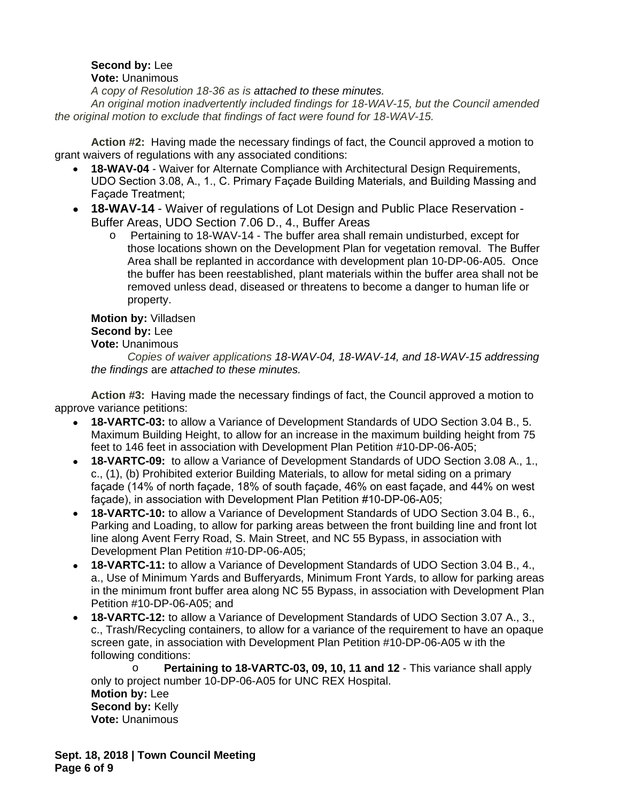# **Second by:** Lee

## **Vote:** Unanimous

*A copy of Resolution 18-36 as is attached to these minutes.*

*An original motion inadvertently included findings for 18-WAV-15, but the Council amended the original motion to exclude that findings of fact were found for 18-WAV-15.*

**Action #2:** Having made the necessary findings of fact, the Council approved a motion to grant waivers of regulations with any associated conditions:

- **18-WAV-04** Waiver for Alternate Compliance with Architectural Design Requirements, UDO Section 3.08, A., 1., C. Primary Façade Building Materials, and Building Massing and Façade Treatment;
- **18-WAV-14** Waiver of regulations of Lot Design and Public Place Reservation Buffer Areas, UDO Section 7.06 D., 4., Buffer Areas
	- o Pertaining to 18-WAV-14 The buffer area shall remain undisturbed, except for those locations shown on the Development Plan for vegetation removal. The Buffer Area shall be replanted in accordance with development plan 10-DP-06-A05. Once the buffer has been reestablished, plant materials within the buffer area shall not be removed unless dead, diseased or threatens to become a danger to human life or property.

#### **Motion by:** Villadsen **Second by:** Lee **Vote:** Unanimous

*Copies of waiver applications 18-WAV-04, 18-WAV-14, and 18-WAV-15 addressing the findings* are *attached to these minutes.*

**Action #3:** Having made the necessary findings of fact, the Council approved a motion to approve variance petitions:

- **18-VARTC-03:** to allow a Variance of Development Standards of UDO Section 3.04 B., 5. Maximum Building Height, to allow for an increase in the maximum building height from 75 feet to 146 feet in association with Development Plan Petition #10-DP-06-A05;
- **18-VARTC-09:** to allow a Variance of Development Standards of UDO Section 3.08 A., 1., c., (1), (b) Prohibited exterior Building Materials, to allow for metal siding on a primary façade (14% of north façade, 18% of south façade, 46% on east façade, and 44% on west façade), in association with Development Plan Petition #10-DP-06-A05;
- **18-VARTC-10:** to allow a Variance of Development Standards of UDO Section 3.04 B., 6., Parking and Loading, to allow for parking areas between the front building line and front lot line along Avent Ferry Road, S. Main Street, and NC 55 Bypass, in association with Development Plan Petition #10-DP-06-A05;
- **18-VARTC-11:** to allow a Variance of Development Standards of UDO Section 3.04 B., 4., a., Use of Minimum Yards and Bufferyards, Minimum Front Yards, to allow for parking areas in the minimum front buffer area along NC 55 Bypass, in association with Development Plan Petition #10-DP-06-A05; and
- **18-VARTC-12:** to allow a Variance of Development Standards of UDO Section 3.07 A., 3., c., Trash/Recycling containers, to allow for a variance of the requirement to have an opaque screen gate, in association with Development Plan Petition #10-DP-06-A05 w ith the following conditions:

o **Pertaining to 18-VARTC-03, 09, 10, 11 and 12** - This variance shall apply only to project number 10-DP-06-A05 for UNC REX Hospital. **Motion by:** Lee **Second by: Kelly Vote:** Unanimous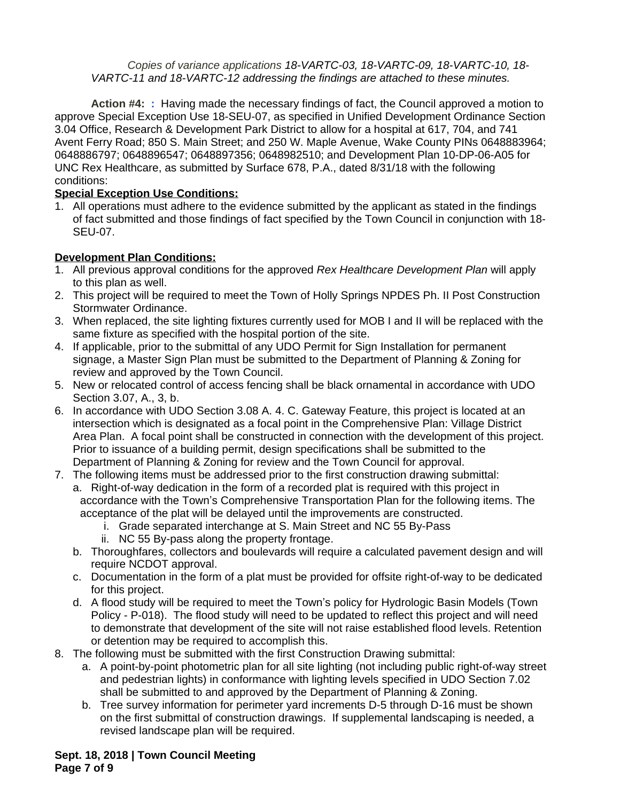*Copies of variance applications 18-VARTC-03, 18-VARTC-09, 18-VARTC-10, 18- VARTC-11 and 18-VARTC-12 addressing the findings are attached to these minutes.*

**Action #4: :** Having made the necessary findings of fact, the Council approved a motion to approve Special Exception Use 18-SEU-07, as specified in Unified Development Ordinance Section 3.04 Office, Research & Development Park District to allow for a hospital at 617, 704, and 741 Avent Ferry Road; 850 S. Main Street; and 250 W. Maple Avenue, Wake County PINs 0648883964; 0648886797; 0648896547; 0648897356; 0648982510; and Development Plan 10-DP-06-A05 for UNC Rex Healthcare, as submitted by Surface 678, P.A., dated 8/31/18 with the following conditions:

## **Special Exception Use Conditions:**

1. All operations must adhere to the evidence submitted by the applicant as stated in the findings of fact submitted and those findings of fact specified by the Town Council in conjunction with 18- SEU-07.

### **Development Plan Conditions:**

- 1. All previous approval conditions for the approved *Rex Healthcare Development Plan* will apply to this plan as well.
- 2. This project will be required to meet the Town of Holly Springs NPDES Ph. II Post Construction Stormwater Ordinance.
- 3. When replaced, the site lighting fixtures currently used for MOB I and II will be replaced with the same fixture as specified with the hospital portion of the site.
- 4. If applicable, prior to the submittal of any UDO Permit for Sign Installation for permanent signage, a Master Sign Plan must be submitted to the Department of Planning & Zoning for review and approved by the Town Council.
- 5. New or relocated control of access fencing shall be black ornamental in accordance with UDO Section 3.07, A., 3, b.
- 6. In accordance with UDO Section 3.08 A. 4. C. Gateway Feature, this project is located at an intersection which is designated as a focal point in the Comprehensive Plan: Village District Area Plan. A focal point shall be constructed in connection with the development of this project. Prior to issuance of a building permit, design specifications shall be submitted to the Department of Planning & Zoning for review and the Town Council for approval.
- 7. The following items must be addressed prior to the first construction drawing submittal:
	- a. Right-of-way dedication in the form of a recorded plat is required with this project in accordance with the Town's Comprehensive Transportation Plan for the following items. The acceptance of the plat will be delayed until the improvements are constructed.
		- i. Grade separated interchange at S. Main Street and NC 55 By-Pass
		- ii. NC 55 By-pass along the property frontage.
		- b. Thoroughfares, collectors and boulevards will require a calculated pavement design and will require NCDOT approval.
		- c. Documentation in the form of a plat must be provided for offsite right-of-way to be dedicated for this project.
		- d. A flood study will be required to meet the Town's policy for Hydrologic Basin Models (Town Policy - P-018). The flood study will need to be updated to reflect this project and will need to demonstrate that development of the site will not raise established flood levels. Retention or detention may be required to accomplish this.
- 8. The following must be submitted with the first Construction Drawing submittal:
	- a. A point-by-point photometric plan for all site lighting (not including public right-of-way street and pedestrian lights) in conformance with lighting levels specified in UDO Section 7.02 shall be submitted to and approved by the Department of Planning & Zoning.
	- b. Tree survey information for perimeter yard increments D-5 through D-16 must be shown on the first submittal of construction drawings. If supplemental landscaping is needed, a revised landscape plan will be required.

**Sept. 18, 2018 | Town Council Meeting Page 7 of 9**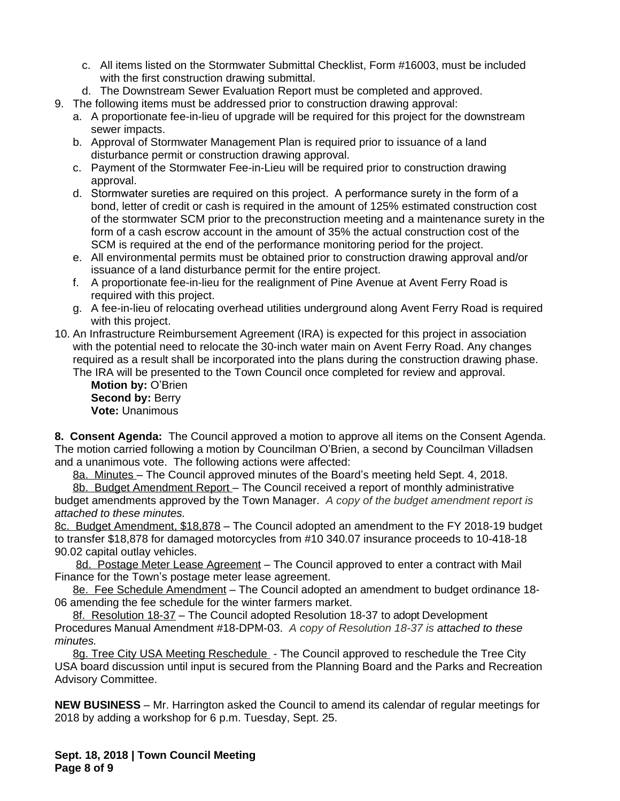- c. All items listed on the Stormwater Submittal Checklist, Form #16003, must be included with the first construction drawing submittal.
- d. The Downstream Sewer Evaluation Report must be completed and approved.
- 9. The following items must be addressed prior to construction drawing approval:
	- a. A proportionate fee-in-lieu of upgrade will be required for this project for the downstream sewer impacts.
	- b. Approval of Stormwater Management Plan is required prior to issuance of a land disturbance permit or construction drawing approval.
	- c. Payment of the Stormwater Fee-in-Lieu will be required prior to construction drawing approval.
	- d. Stormwater sureties are required on this project. A performance surety in the form of a bond, letter of credit or cash is required in the amount of 125% estimated construction cost of the stormwater SCM prior to the preconstruction meeting and a maintenance surety in the form of a cash escrow account in the amount of 35% the actual construction cost of the SCM is required at the end of the performance monitoring period for the project.
	- e. All environmental permits must be obtained prior to construction drawing approval and/or issuance of a land disturbance permit for the entire project.
	- f. A proportionate fee-in-lieu for the realignment of Pine Avenue at Avent Ferry Road is required with this project.
	- g. A fee-in-lieu of relocating overhead utilities underground along Avent Ferry Road is required with this project.
- 10. An Infrastructure Reimbursement Agreement (IRA) is expected for this project in association with the potential need to relocate the 30-inch water main on Avent Ferry Road. Any changes required as a result shall be incorporated into the plans during the construction drawing phase.

The IRA will be presented to the Town Council once completed for review and approval.

**Motion by:** O'Brien **Second by: Berry Vote:** Unanimous

**8. Consent Agenda:** The Council approved a motion to approve all items on the Consent Agenda. The motion carried following a motion by Councilman O'Brien, a second by Councilman Villadsen and a unanimous vote. The following actions were affected:

8a. Minutes – The Council approved minutes of the Board's meeting held Sept. 4, 2018.

8b. Budget Amendment Report – The Council received a report of monthly administrative budget amendments approved by the Town Manager. *A copy of the budget amendment report is attached to these minutes.*

8c. Budget Amendment, \$18,878 – The Council adopted an amendment to the FY 2018-19 budget to transfer \$18,878 for damaged motorcycles from #10 340.07 insurance proceeds to 10-418-18 90.02 capital outlay vehicles.

8d. Postage Meter Lease Agreement – The Council approved to enter a contract with Mail Finance for the Town's postage meter lease agreement.

8e. Fee Schedule Amendment – The Council adopted an amendment to budget ordinance 18- 06 amending the fee schedule for the winter farmers market.

8f. Resolution 18-37 – The Council adopted Resolution 18-37 to adopt Development Procedures Manual Amendment #18-DPM-03. *A copy of Resolution 18-37 is attached to these minutes.*

8g. Tree City USA Meeting Reschedule - The Council approved to reschedule the Tree City USA board discussion until input is secured from the Planning Board and the Parks and Recreation Advisory Committee.

**NEW BUSINESS** – Mr. Harrington asked the Council to amend its calendar of regular meetings for 2018 by adding a workshop for 6 p.m. Tuesday, Sept. 25.